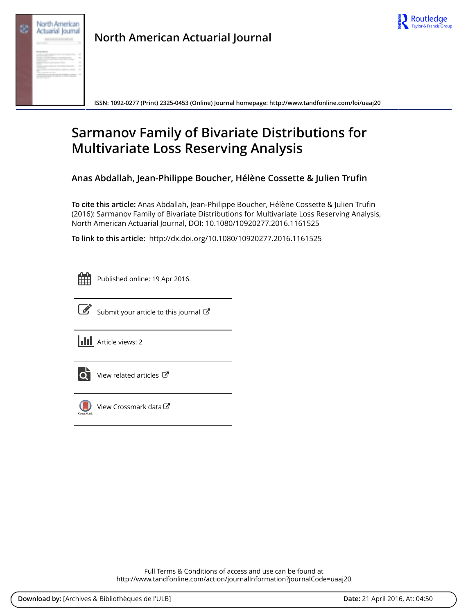



**North American Actuarial Journal**

**ISSN: 1092-0277 (Print) 2325-0453 (Online) Journal homepage:<http://www.tandfonline.com/loi/uaaj20>**

# **Sarmanov Family of Bivariate Distributions for Multivariate Loss Reserving Analysis**

**Anas Abdallah, Jean-Philippe Boucher, Hélène Cossette & Julien Trufin**

**To cite this article:** Anas Abdallah, Jean-Philippe Boucher, Hélène Cossette & Julien Trufin (2016): Sarmanov Family of Bivariate Distributions for Multivariate Loss Reserving Analysis, North American Actuarial Journal, DOI: [10.1080/10920277.2016.1161525](http://www.tandfonline.com/action/showCitFormats?doi=10.1080/10920277.2016.1161525)

**To link to this article:** <http://dx.doi.org/10.1080/10920277.2016.1161525>



Published online: 19 Apr 2016.



 $\overline{\mathscr{L}}$  [Submit your article to this journal](http://www.tandfonline.com/action/authorSubmission?journalCode=uaaj20&page=instructions)  $\mathbb{Z}$ 

**Article views: 2** 



 $\overline{Q}$  [View related articles](http://www.tandfonline.com/doi/mlt/10.1080/10920277.2016.1161525)  $\overline{C}$ 



[View Crossmark data](http://crossmark.crossref.org/dialog/?doi=10.1080/10920277.2016.1161525&domain=pdf&date_stamp=2016-04-19)

Full Terms & Conditions of access and use can be found at <http://www.tandfonline.com/action/journalInformation?journalCode=uaaj20>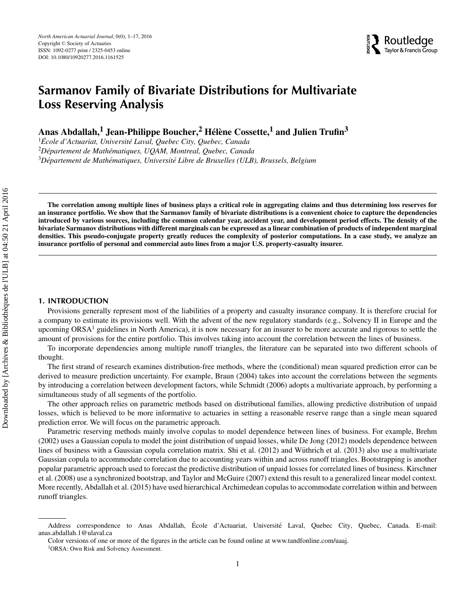

# **Sarmanov Family of Bivariate Distributions for Multivariate Loss Reserving Analysis**

Anas Abdallah,<sup>1</sup> Jean-Philippe Boucher,<sup>2</sup> Hélène Cossette,<sup>1</sup> and Julien Trufin<sup>3</sup>

<sup>1</sup>École d'Actuariat, Université Laval, Quebec City, Quebec, Canada 2 *Departement de Math ´ ematiques, UQAM, Montreal, Quebec, Canada ´* 3 *Departement de Math ´ ematiques, Universit ´ e Libre de Bruxelles (ULB), Brussels, Belgium ´*

**The correlation among multiple lines of business plays a critical role in aggregating claims and thus determining loss reserves for an insurance portfolio. We show that the Sarmanov family of bivariate distributions is a convenient choice to capture the dependencies introduced by various sources, including the common calendar year, accident year, and development period effects. The density of the bivariate Sarmanov distributions with different marginals can be expressed as a linear combination of products of independent marginal densities. This pseudo-conjugate property greatly reduces the complexity of posterior computations. In a case study, we analyze an insurance portfolio of personal and commercial auto lines from a major U.S. property-casualty insurer.**

# **1. INTRODUCTION**

Provisions generally represent most of the liabilities of a property and casualty insurance company. It is therefore crucial for a company to estimate its provisions well. With the advent of the new regulatory standards (e.g., Solvency II in Europe and the upcoming ORSA<sup>1</sup> guidelines in North America), it is now necessary for an insurer to be more accurate and rigorous to settle the amount of provisions for the entire portfolio. This involves taking into account the correlation between the lines of business.

To incorporate dependencies among multiple runoff triangles, the literature can be separated into two different schools of thought.

The first strand of research examines distribution-free methods, where the (conditional) mean squared prediction error can be derived to measure prediction uncertainty. For example, Braun (2004) takes into account the correlations between the segments by introducing a correlation between development factors, while Schmidt (2006) adopts a multivariate approach, by performing a simultaneous study of all segments of the portfolio.

The other approach relies on parametric methods based on distributional families, allowing predictive distribution of unpaid losses, which is believed to be more informative to actuaries in setting a reasonable reserve range than a single mean squared prediction error. We will focus on the parametric approach.

Parametric reserving methods mainly involve copulas to model dependence between lines of business. For example, Brehm (2002) uses a Gaussian copula to model the joint distribution of unpaid losses, while De Jong (2012) models dependence between lines of business with a Gaussian copula correlation matrix. Shi et al.  $(2012)$  and Wüthrich et al.  $(2013)$  also use a multivariate Gaussian copula to accommodate correlation due to accounting years within and across runoff triangles. Bootstrapping is another popular parametric approach used to forecast the predictive distribution of unpaid losses for correlated lines of business. Kirschner et al. (2008) use a synchronized bootstrap, and Taylor and McGuire (2007) extend this result to a generalized linear model context. More recently, Abdallah et al. (2015) have used hierarchical Archimedean copulas to accommodate correlation within and between runoff triangles.

Address correspondence to Anas Abdallah, École d'Actuariat, Université Laval, Quebec City, Quebec, Canada. E-mail: anas.abdallah.1@ulaval.ca

Color versions of one or more of the figures in the article can be found online at www.tandfonline.com/uaaj.

<sup>&</sup>lt;sup>1</sup>ORSA: Own Risk and Solvency Assessment.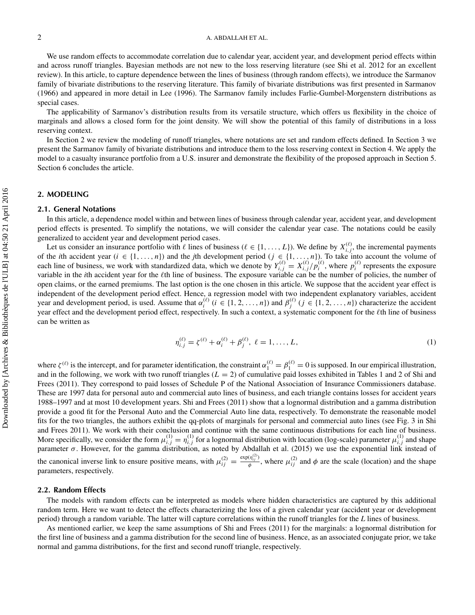We use random effects to accommodate correlation due to calendar year, accident year, and development period effects within and across runoff triangles. Bayesian methods are not new to the loss reserving literature (see Shi et al. 2012 for an excellent review). In this article, to capture dependence between the lines of business (through random effects), we introduce the Sarmanov family of bivariate distributions to the reserving literature. This family of bivariate distributions was first presented in Sarmanov (1966) and appeared in more detail in Lee (1996). The Sarmanov family includes Farlie-Gumbel-Morgenstern distributions as special cases.

The applicability of Sarmanov's distribution results from its versatile structure, which offers us flexibility in the choice of marginals and allows a closed form for the joint density. We will show the potential of this family of distributions in a loss reserving context.

In Section 2 we review the modeling of runoff triangles, where notations are set and random effects defined. In Section 3 we present the Sarmanov family of bivariate distributions and introduce them to the loss reserving context in Section 4. We apply the model to a casualty insurance portfolio from a U.S. insurer and demonstrate the flexibility of the proposed approach in Section 5. Section 6 concludes the article.

# **2. MODELING**

#### **2.1. General Notations**

In this article, a dependence model within and between lines of business through calendar year, accident year, and development period effects is presented. To simplify the notations, we will consider the calendar year case. The notations could be easily generalized to accident year and development period cases.

Let us consider an insurance portfolio with  $\ell$  lines of business ( $\ell \in \{1, ..., L\}$ ). We define by  $X_{i,j}^{(\ell)}$ , the incremental payments of the *i*th accident year  $(i \in \{1, ..., n\})$  and the *j*th development period  $(j \in \{1, ..., n\})$ . To take into account the volume of each line of business, we work with standardized data, which we denote by  $Y_{i,j}^{(\ell)} = X_{i,j}^{(\ell)}/p_i^{(\ell)}$ , where  $p_i^{(\ell)}$  represents the exposure variable in the *i*th accident year for the *l*th line of business. The exposure variable can be the number of policies, the number of open claims, or the earned premiums. The last option is the one chosen in this article. We suppose that the accident year effect is independent of the development period effect. Hence, a regression model with two independent explanatory variables, accident  $y$ ear and development period, is used. Assume that  $\alpha_i^{(\ell)}$  (*i* ∈ {1, 2, ..., *n*}) and  $\beta_i^{(\ell)}$  (*j* ∈ {1, 2, ..., *n*}) characterize the accident year effect and the development period effect, respectively. In such a context, a systematic component for the *-*th line of business can be written as

$$
\eta_{i,j}^{(\ell)} = \zeta^{(\ell)} + \alpha_i^{(\ell)} + \beta_j^{(\ell)}, \ \ell = 1, \dots, L,\tag{1}
$$

where  $\zeta^{(\ell)}$  is the intercept, and for parameter identification, the constraint  $\alpha_1^{(\ell)} = \beta_1^{(\ell)} = 0$  is supposed. In our empirical illustration, and in the following, we work with two runoff triangles  $(L = 2)$  of cumulative paid losses exhibited in Tables 1 and 2 of Shi and Frees (2011). They correspond to paid losses of Schedule P of the National Association of Insurance Commissioners database. These are 1997 data for personal auto and commercial auto lines of business, and each triangle contains losses for accident years 1988–1997 and at most 10 development years. Shi and Frees (2011) show that a lognormal distribution and a gamma distribution provide a good fit for the Personal Auto and the Commercial Auto line data, respectively. To demonstrate the reasonable model fits for the two triangles, the authors exhibit the qq-plots of marginals for personal and commercial auto lines (see Fig. 3 in Shi and Frees 2011). We work with their conclusion and continue with the same continuous distributions for each line of business. More specifically, we consider the form  $\mu_{i,j}^{(1)} = \eta_{i,j}^{(1)}$  for a lognormal distribution with location (log-scale) parameter  $\mu_{i,j}^{(1)}$  and shape parameter *σ*. However, for the gamma distribution, as noted by Abdallah et al. (2015) we use the exponential link instead of the canonical inverse link to ensure positive means, with  $\mu_{ij}^{(2)} = \frac{\exp(\eta_{ij}^{(2)})}{\phi}$ , where  $\mu_{ij}^{(2)}$  and  $\phi$  are the scale (location) and the shape parameters, respectively.

#### **2.2. Random Effects**

The models with random effects can be interpreted as models where hidden characteristics are captured by this additional random term. Here we want to detect the effects characterizing the loss of a given calendar year (accident year or development period) through a random variable. The latter will capture correlations within the runoff triangles for the *L* lines of business.

As mentioned earlier, we keep the same assumptions of Shi and Frees (2011) for the marginals: a lognormal distribution for the first line of business and a gamma distribution for the second line of business. Hence, as an associated conjugate prior, we take normal and gamma distributions, for the first and second runoff triangle, respectively.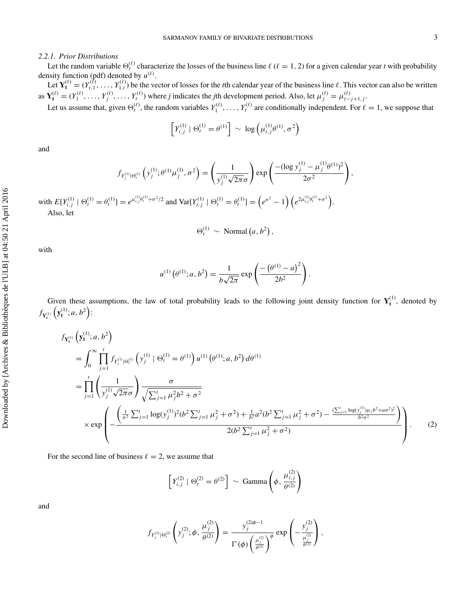#### *2.2.1. Prior Distributions*

Let the random variable  $\Theta_t^{(\ell)}$  characterize the losses of the business line  $\ell$  ( $\ell = 1, 2$ ) for a given calendar year *t* with probability density function (pdf) denoted by  $u^{(\ell)}$ .<br>Let  $\mathbf{Y}_t^{(\ell)} = (Y_{t,1}^{(\ell)}, \dots, Y_{1,t}^{(\ell)})$  be the vector of losses for the *t*th calendar year of the business line  $\ell$ . This vector can also be written

as  $Y_t^{(\ell)} = (Y_1^{(\ell)}, \ldots, Y_j^{(\ell)}, \ldots, Y_t^{(\ell)})$  where *j* indicates the *j*th development period. Also, let  $\mu_j^{(\ell)} = \mu_{t-j+1,j}^{(\ell)}$ .

Let us assume that, given  $\Theta_t^{(\ell)}$ , the random variables  $Y_1^{(\ell)}$ , ...,  $Y_t^{(\ell)}$  are conditionally independent. For  $\ell = 1$ , we suppose that

$$
\left[Y_{i,j}^{(1)} | \Theta_t^{(1)} = \theta^{(1)}\right] \sim \log\left(\mu_{i,j}^{(1)}\theta^{(1)}, \sigma^2\right)
$$

and

$$
f_{Y_j^{(1)}|\Theta_i^{(1)}}\left(y_j^{(1)};\theta^{(1)}\mu_j^{(1)},\sigma^2\right) = \left(\frac{1}{y_j^{(1)}\sqrt{2\pi}\sigma}\right) \exp\left(\frac{-(\log y_j^{(1)} - \mu_j^{(1)}\theta^{(1)})^2}{2\sigma^2}\right),
$$

with  $E[Y_{i,j}^{(1)} | \Theta_t^{(1)} = \theta_t^{(1)}] = e^{\mu_{i,j}^{(1)}\theta_t^{(1)} + \sigma^2/2}$  and  $Var[Y_{i,j}^{(1)} | \Theta_t^{(1)} = \theta_t^{(1)}] = (e^{\sigma^2} - 1)(e^{2\mu_{i,j}^{(1)}\theta_t^{(1)} + \sigma^2}).$ Also, let

$$
\Theta_t^{(1)} \sim \text{Normal}\left(a, b^2\right),
$$

with

$$
u^{(1)}(\theta^{(1)};a,b^2) = \frac{1}{b\sqrt{2\pi}} \exp\left(\frac{-(\theta^{(1)}-a)^2}{2b^2}\right).
$$

Given these assumptions, the law of total probability leads to the following joint density function for  $Y_t^{(1)}$ , denoted by  $f_{\mathbf{Y}_{\mathbf{t}}^{(1)}}\left(\mathbf{y}_{\mathbf{t}}^{(1)}; a, b^2\right)$ :

$$
f_{Y_{t}^{(1)}}\left(y_{t}^{(1)}; a, b^{2}\right)
$$
\n
$$
= \int_{0}^{\infty} \prod_{j=1}^{t} f_{Y_{j}^{(1)}|\Theta_{i}^{(1)}}\left(y_{j}^{(1)} | \Theta_{t}^{(1)} = \theta^{(1)}\right) u^{(1)}\left(\theta^{(1)}; a, b^{2}\right) d\theta^{(1)}
$$
\n
$$
= \prod_{j=1}^{t} \left(\frac{1}{y_{j}^{(1)}\sqrt{2\pi}\sigma}\right) \frac{\sigma}{\sqrt{\sum_{j=1}^{t} \mu_{j}^{2}b^{2} + \sigma^{2}}}
$$
\n
$$
\times \exp\left(-\frac{\left(\frac{1}{\sigma^{2}} \sum_{j=1}^{t} \log(y_{j}^{(1)})^{2} (b^{2} \sum_{j=1}^{t} \mu_{j}^{2} + \sigma^{2}) + \frac{1}{b^{2}} a^{2} (b^{2} \sum_{j=1}^{t} \mu_{j}^{2} + \sigma^{2}) - \frac{\left(\sum_{j=1}^{t} \log(y_{j}^{(1)})\mu_{j}b^{2} + a\sigma^{2}\right)^{2}}{b^{2}\sigma^{2}}}{2(b^{2} \sum_{j=1}^{t} \mu_{j}^{2} + \sigma^{2})}\right).
$$
\n(2)

For the second line of business  $\ell = 2$ , we assume that

$$
\left[Y_{i,j}^{(2)} | \Theta_t^{(2)} = \theta^{(2)}\right] \sim \text{Gamma}\left(\phi, \frac{\mu_{i,j}^{(2)}}{\theta^{(2)}}\right)
$$

and

$$
f_{Y_j^{(2)}|\Theta_i^{(2)}}\left(y_j^{(2)};\phi,\frac{\mu_j^{(2)}}{\theta^{(2)}}\right) = \frac{y_j^{(2)\phi-1}}{\Gamma(\phi)\left(\frac{\mu_j^{(2)}}{\theta^{(2)}}\right)^{\phi}}\exp\left(-\frac{y_j^{(2)}}{\frac{\mu_j^{(2)}}{\theta^{(2)}}}\right),\,
$$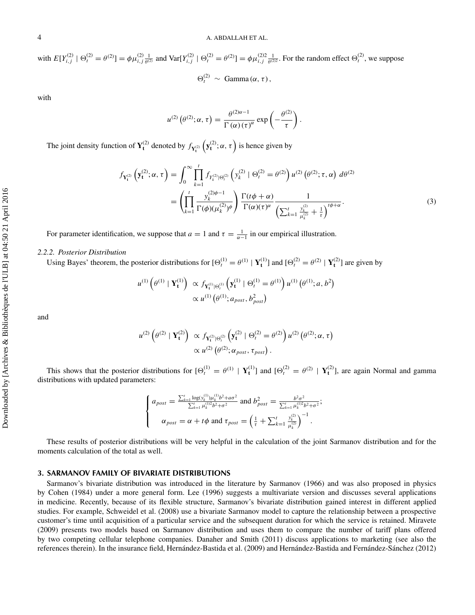with  $E[Y_{i,j}^{(2)} | \Theta_t^{(2)} = \theta^{(2)}] = \phi \mu_{i,j}^{(2)} \frac{1}{\theta^{(2)}}$  and  $Var[Y_{i,j}^{(2)} | \Theta_t^{(2)} = \theta^{(2)}] = \phi \mu_{i,j}^{(2)} \frac{1}{\theta^{(2)}}$ . For the random effect  $\Theta_t^{(2)}$ , we suppose  $\Theta_t^{(2)} \sim \text{Gamma}(\alpha, \tau),$ 

with

$$
u^{(2)}\left(\theta^{(2)};\alpha,\tau\right)=\frac{\theta^{(2)\alpha-1}}{\Gamma\left(\alpha\right)\left(\tau\right)^{\alpha}}\exp\left(-\frac{\theta^{(2)}}{\tau}\right).
$$

The joint density function of  $Y_t^{(2)}$  denoted by  $f_{Y_t^{(2)}}(y_t^{(2)}; \alpha, \tau)$  is hence given by

$$
f_{Y_t^{(2)}}\left(y_t^{(2)};\alpha,\tau\right) = \int_0^\infty \prod_{k=1}^t f_{Y_k^{(2)}|\Theta_t^{(2)}}\left(y_k^{(2)}\mid\Theta_t^{(2)} = \theta^{(2)}\right)u^{(2)}\left(\theta^{(2)};\tau,\alpha\right)d\theta^{(2)}
$$

$$
= \left(\prod_{k=1}^t \frac{y_k^{(2)\phi-1}}{\Gamma(\phi)(\mu_k^{(2)})^\phi}\right)\frac{\Gamma(t\phi+\alpha)}{\Gamma(\alpha)(\tau)^\alpha}\frac{1}{\left(\sum_{k=1}^t \frac{y_k^{(2)}}{\mu_k^{(2)}} + \frac{1}{\tau}\right)^{t\phi+\alpha}}.
$$
(3)

For parameter identification, we suppose that  $a = 1$  and  $\tau = \frac{1}{\alpha - 1}$  in our empirical illustration.

#### *2.2.2. Posterior Distribution*

Using Bayes' theorem, the posterior distributions for  $[\Theta_t^{(1)} = \theta^{(1)} | \mathbf{Y_t^{(1)}}]$  and  $[\Theta_t^{(2)} = \theta^{(2)} | \mathbf{Y_t^{(2)}}]$  are given by

$$
u^{(1)}\left(\theta^{(1)} | \mathbf{Y}_{t}^{(1)}\right) \propto f_{\mathbf{Y}_{t}^{(1)} | \Theta_{t}^{(1)}}\left(\mathbf{y}_{t}^{(1)} | \Theta_{t}^{(1)} = \theta^{(1)}\right)u^{(1)}\left(\theta^{(1)}; a, b^{2}\right) \propto u^{(1)}\left(\theta^{(1)}; a_{post}, b_{post}^{2}\right)
$$

and

$$
u^{(2)}\left(\theta^{(2)} | \mathbf{Y}_{t}^{(2)}\right) \propto f_{\mathbf{Y}_{t}^{(2)}|\Theta_{t}^{(2)}}\left(\mathbf{y}_{t}^{(2)} | \Theta_{t}^{(2)} = \theta^{(2)}\right)u^{(2)}\left(\theta^{(2)};\alpha,\tau\right) \propto u^{(2)}\left(\theta^{(2)};\alpha_{post},\tau_{post}\right).
$$

This shows that the posterior distributions for  $[\Theta_t^{(1)} = \theta^{(1)} | Y_t^{(1)}]$  and  $[\Theta_t^{(2)} = \theta^{(2)} | Y_t^{(2)}]$ , are again Normal and gamma distributions with updated parameters:

$$
\begin{cases}\n a_{post} = \frac{\sum_{k=1}^{t} \log(y_k^{(1)}) \mu_k^{(1)} b^2 + a\sigma^2}{\sum_{k=1}^{t} \mu_k^{(1)2} b^2 + \sigma^2} \text{ and } b_{post}^2 = \frac{b^2 \sigma^2}{\sum_{k=1}^{t} \mu_k^{(1)2} b^2 + \sigma^2}; \\
 \alpha_{post} = \alpha + t\phi \text{ and } \tau_{post} = \left(\frac{1}{\tau} + \sum_{k=1}^{t} \frac{y_k^{(2)}}{\mu_k^{(2)}}\right)^{-1}.\n\end{cases}
$$

These results of posterior distributions will be very helpful in the calculation of the joint Sarmanov distribution and for the moments calculation of the total as well.

#### **3. SARMANOV FAMILY OF BIVARIATE DISTRIBUTIONS**

Sarmanov's bivariate distribution was introduced in the literature by Sarmanov (1966) and was also proposed in physics by Cohen (1984) under a more general form. Lee (1996) suggests a multivariate version and discusses several applications in medicine. Recently, because of its flexible structure, Sarmanov's bivariate distribution gained interest in different applied studies. For example, Schweidel et al. (2008) use a bivariate Sarmanov model to capture the relationship between a prospective customer's time until acquisition of a particular service and the subsequent duration for which the service is retained. Miravete (2009) presents two models based on Sarmanov distribution and uses them to compare the number of tariff plans offered by two competing cellular telephone companies. Danaher and Smith (2011) discuss applications to marketing (see also the references therein). In the insurance field, Hernández-Bastida et al. (2009) and Hernández-Bastida and Fernández-Sánchez (2012)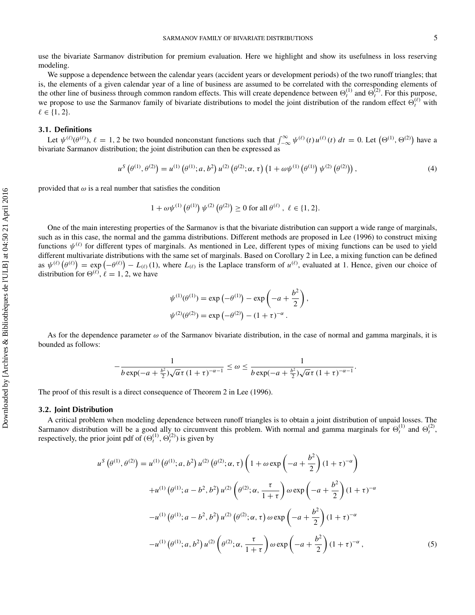use the bivariate Sarmanov distribution for premium evaluation. Here we highlight and show its usefulness in loss reserving modeling.

We suppose a dependence between the calendar years (accident years or development periods) of the two runoff triangles; that is, the elements of a given calendar year of a line of business are assumed to be correlated with the corresponding elements of the other line of business through common random effects. This will create dependence between  $\Theta_t^{(1)}$  and  $\Theta_t^{(2)}$ . For this purpose, we propose to use the Sarmanov family of bivariate distributions to model the joint distribution of the random effect  $\Theta_t^{(\ell)}$  with  $\ell \in \{1, 2\}.$ 

# **3.1. Definitions**

Let  $\psi^{(\ell)}(\theta^{(\ell)}), \ell = 1, 2$  be two bounded nonconstant functions such that  $\int_{-\infty}^{\infty} \psi^{(\ell)}(t) u^{(\ell)}(t) dt = 0$ . Let  $(\Theta^{(1)}, \Theta^{(2)})$  have a bivariate Sarmanov distribution; the joint distribution can then be expressed as

$$
u^{S}(\theta^{(1)},\theta^{(2)}) = u^{(1)}(\theta^{(1)};a,b^{2})u^{(2)}(\theta^{(2)};\alpha,\tau)(1+\omega\psi^{(1)}(\theta^{(1)})\psi^{(2)}(\theta^{(2)})),
$$
\n(4)

provided that  $\omega$  is a real number that satisfies the condition

$$
1 + \omega \psi^{(1)} (\theta^{(1)}) \psi^{(2)} (\theta^{(2)}) \ge 0 \text{ for all } \theta^{(\ell)}, \ell \in \{1, 2\}.
$$

One of the main interesting properties of the Sarmanov is that the bivariate distribution can support a wide range of marginals, such as in this case, the normal and the gamma distributions. Different methods are proposed in Lee (1996) to construct mixing functions  $\psi^{(\ell)}$  for different types of marginals. As mentioned in Lee, different types of mixing functions can be used to yield different multivariate distributions with the same set of marginals. Based on Corollary 2 in Lee, a mixing function can be defined as  $\psi^{(\ell)}(\theta^{(\ell)}) = \exp(-\theta^{(\ell)}) - L_{(\ell)}(1)$ , where  $L_{(\ell)}$  is the Laplace transform of  $u^{(\ell)}$ , evaluated at 1. Hence, given our choice of distribution for  $\Theta^{(\ell)}$ ,  $\ell = 1, 2$ , we have

$$
\psi^{(1)}(\theta^{(1)}) = \exp(-\theta^{(1)}) - \exp(-a + \frac{b^2}{2}),
$$
  

$$
\psi^{(2)}(\theta^{(2)}) = \exp(-\theta^{(2)}) - (1 + \tau)^{-\alpha}.
$$

As for the dependence parameter *ω* of the Sarmanov bivariate distribution, in the case of normal and gamma marginals, it is bounded as follows:

$$
-\frac{1}{b\exp(-a+\frac{b^2}{2})\sqrt{\alpha}\tau (1+\tau)^{-\alpha-1}}\leq \omega\leq \frac{1}{b\exp(-a+\frac{b^2}{2})\sqrt{\alpha}\tau (1+\tau)^{-\alpha-1}}.
$$

The proof of this result is a direct consequence of Theorem 2 in Lee (1996).

#### **3.2. Joint Distribution**

A critical problem when modeling dependence between runoff triangles is to obtain a joint distribution of unpaid losses. The Sarmanov distribution will be a good ally to circumvent this problem. With normal and gamma marginals for  $\Theta_t^{(1)}$  and  $\Theta_t^{(2)}$ , respectively, the prior joint pdf of  $(\Theta_t^{(1)}, \Theta_t^{(2)})$  is given by

$$
u^{S}(\theta^{(1)},\theta^{(2)}) = u^{(1)}(\theta^{(1)};a,b^{2})u^{(2)}(\theta^{(2)};\alpha,\tau)\left(1+\omega\exp\left(-a+\frac{b^{2}}{2}\right)(1+\tau)^{-\alpha}\right)
$$
  
+u^{(1)}(\theta^{(1)};a-b^{2},b^{2})u^{(2)}(\theta^{(2)};\alpha,\frac{\tau}{1+\tau})\omega\exp\left(-a+\frac{b^{2}}{2}\right)(1+\tau)^{-\alpha}  
-u^{(1)}(\theta^{(1)};a-b^{2},b^{2})u^{(2)}(\theta^{(2)};\alpha,\tau)\omega\exp\left(-a+\frac{b^{2}}{2}\right)(1+\tau)^{-\alpha}  
-u^{(1)}(\theta^{(1)};a,b^{2})u^{(2)}(\theta^{(2)};\alpha,\frac{\tau}{1+\tau})\omega\exp\left(-a+\frac{b^{2}}{2}\right)(1+\tau)^{-\alpha}, \qquad (5)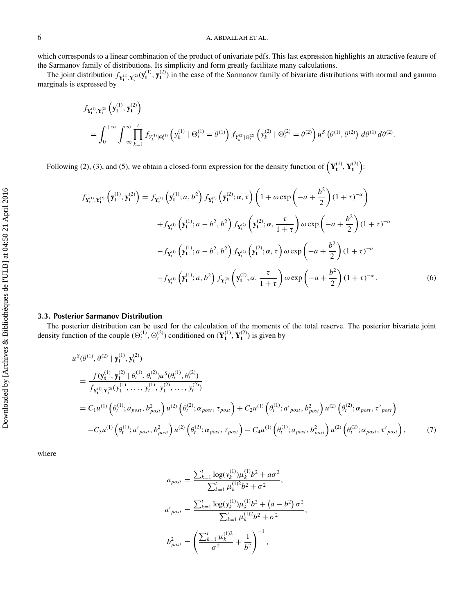# 6 A. ABDALLAH ET AL.

which corresponds to a linear combination of the product of univariate pdfs. This last expression highlights an attractive feature of the Sarmanov family of distributions. Its simplicity and form greatly facilitate many calculations.

The joint distribution  $f_{Y_t^{(1)}, Y_t^{(2)}}(y_t^{(1)}, y_t^{(2)})$  in the case of the Sarmanov family of bivariate distributions with normal and gamma marginals is expressed by

$$
f_{Y_t^{(1)}, Y_t^{(2)}}(y_t^{(1)}, y_t^{(2)}) = \int_0^{+\infty} \int_{-\infty}^{\infty} \prod_{k=1}^t f_{Y_k^{(1)} | \Theta_t^{(1)}}(\psi_k^{(1)} | \Theta_t^{(1)} = \theta^{(1)}) f_{Y_k^{(2)} | \Theta_t^{(2)}}(\psi_k^{(2)} | \Theta_t^{(2)} = \theta^{(2)}) u^S(\theta^{(1)}, \theta^{(2)}) d\theta^{(1)} d\theta^{(2)}.
$$

Following (2), (3), and (5), we obtain a closed-form expression for the density function of  $(Y_t^{(1)}, Y_t^{(2)})$ :

$$
f_{\mathbf{Y}_{t}^{(1)},\mathbf{Y}_{t}^{(2)}}\left(\mathbf{y}_{t}^{(1)},\mathbf{y}_{t}^{(2)}\right) = f_{\mathbf{Y}_{t}^{(1)}}\left(\mathbf{y}_{t}^{(1)};a,b^{2}\right)f_{\mathbf{Y}_{t}^{(2)}}\left(\mathbf{y}_{t}^{(2)};\alpha,\tau\right)\left(1+\omega\exp\left(-a+\frac{b^{2}}{2}\right)(1+\tau)^{-\alpha}\right) + f_{\mathbf{Y}_{t}^{(1)}}\left(\mathbf{y}_{t}^{(1)};a-b^{2},b^{2}\right)f_{\mathbf{Y}_{t}^{(2)}}\left(\mathbf{y}_{t}^{(2)};\alpha,\frac{\tau}{1+\tau}\right)\omega\exp\left(-a+\frac{b^{2}}{2}\right)(1+\tau)^{-\alpha} - f_{\mathbf{Y}_{t}^{(1)}}\left(\mathbf{y}_{t}^{(1)};a-b^{2},b^{2}\right)f_{\mathbf{Y}_{t}^{(2)}}\left(\mathbf{y}_{t}^{(2)};\alpha,\tau\right)\omega\exp\left(-a+\frac{b^{2}}{2}\right)(1+\tau)^{-\alpha} - f_{\mathbf{Y}_{t}^{(1)}}\left(\mathbf{y}_{t}^{(1)};a,b^{2}\right)f_{\mathbf{Y}_{t}^{(2)}}\left(\mathbf{y}_{t}^{(2)};\alpha,\frac{\tau}{1+\tau}\right)\omega\exp\left(-a+\frac{b^{2}}{2}\right)(1+\tau)^{-\alpha}.
$$
 (6)

# **3.3. Posterior Sarmanov Distribution**

The posterior distribution can be used for the calculation of the moments of the total reserve. The posterior bivariate joint density function of the couple  $(\Theta_t^{(1)}, \Theta_t^{(2)})$  conditioned on  $(\mathbf{Y}_t^{(1)}, \mathbf{Y}_t^{(2)})$  is given by

$$
u^{S}(\theta^{(1)}, \theta^{(2)} | \mathbf{y}_{t}^{(1)}, \mathbf{y}_{t}^{(2)})
$$
\n
$$
= \frac{f(\mathbf{y}_{t}^{(1)}, \mathbf{y}_{t}^{(2)} | \theta_{t}^{(1)}, \theta_{t}^{(2)}) u^{S}(\theta_{t}^{(1)}, \theta_{t}^{(2)})}{f_{\mathbf{Y}_{t}^{(1)}, \mathbf{Y}_{t}^{(2)}}(y_{1}^{(1)}, \ldots, y_{t}^{(1)}, y_{1}^{(2)}, \ldots, y_{t}^{(2)})} = C_{1}u^{(1)}\left(\theta_{t}^{(1)}; a_{post}, b_{post}^{2}\right)u^{(2)}\left(\theta_{t}^{(2)}; \alpha_{post}, \tau_{post}\right) + C_{2}u^{(1)}\left(\theta_{t}^{(1)}; a_{post}, b_{post}^{2}\right)u^{(2)}\left(\theta_{t}^{(2)}; \alpha_{post}, \tau_{post}\right)
$$
\n
$$
-C_{3}u^{(1)}\left(\theta_{t}^{(1)}; a_{post}, b_{post}^{2}\right)u^{(2)}\left(\theta_{t}^{(2)}; \alpha_{post}, \tau_{post}\right) - C_{4}u^{(1)}\left(\theta_{t}^{(1)}; a_{post}, b_{post}^{2}\right)u^{(2)}\left(\theta_{t}^{(2)}; \alpha_{post}, \tau_{post}\right), \qquad (7)
$$

where

$$
a_{post} = \frac{\sum_{k=1}^{t} \log(y_k^{(1)}) \mu_k^{(1)} b^2 + a\sigma^2}{\sum_{k=1}^{t} \mu_k^{(1)2} b^2 + \sigma^2},
$$

$$
a'_{post} = \frac{\sum_{k=1}^{t} \log(y_k^{(1)}) \mu_k^{(1)} b^2 + (a - b^2) \sigma^2}{\sum_{k=1}^{t} \mu_k^{(1)2} b^2 + \sigma^2},
$$

$$
b_{post}^2 = \left(\frac{\sum_{k=1}^{t} \mu_k^{(1)2}}{\sigma^2} + \frac{1}{b^2}\right)^{-1},
$$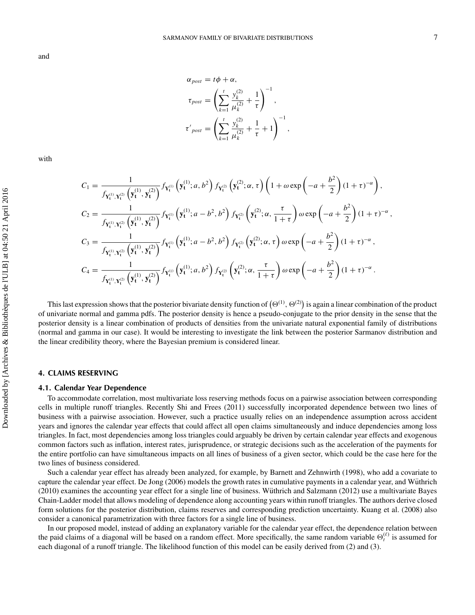$$
\alpha_{post} = t\phi + \alpha,
$$
  
\n
$$
\tau_{post} = \left(\sum_{k=1}^{t} \frac{y_k^{(2)}}{\mu_k^{(2)}} + \frac{1}{\tau}\right)^{-1},
$$
  
\n
$$
\tau'_{post} = \left(\sum_{k=1}^{t} \frac{y_k^{(2)}}{\mu_k^{(2)}} + \frac{1}{\tau} + 1\right)^{-1},
$$

with

$$
C_{1} = \frac{1}{f_{Y_{t}^{(1)}, Y_{t}^{(2)}} \left(y_{t}^{(1)}, y_{t}^{(2)}\right)} f_{Y_{t}^{(1)}} \left(y_{t}^{(1)}; a, b^{2}\right) f_{Y_{t}^{(2)}} \left(y_{t}^{(2)}; \alpha, \tau\right) \left(1 + \omega \exp\left(-a + \frac{b^{2}}{2}\right) (1 + \tau)^{-\alpha}\right),
$$
  
\n
$$
C_{2} = \frac{1}{f_{Y_{t}^{(1)}, Y_{t}^{(2)}} \left(y_{t}^{(1)}, y_{t}^{(2)}\right)} f_{Y_{t}^{(1)}} \left(y_{t}^{(1)}; a - b^{2}, b^{2}\right) f_{Y_{t}^{(2)}} \left(y_{t}^{(2)}; \alpha, \frac{\tau}{1 + \tau}\right) \omega \exp\left(-a + \frac{b^{2}}{2}\right) (1 + \tau)^{-\alpha},
$$
  
\n
$$
C_{3} = \frac{1}{f_{Y_{t}^{(1)}, Y_{t}^{(2)}} \left(y_{t}^{(1)}, y_{t}^{(2)}\right)} f_{Y_{t}^{(1)}} \left(y_{t}^{(1)}; a - b^{2}, b^{2}\right) f_{Y_{t}^{(2)}} \left(y_{t}^{(2)}; \alpha, \tau\right) \omega \exp\left(-a + \frac{b^{2}}{2}\right) (1 + \tau)^{-\alpha},
$$
  
\n
$$
C_{4} = \frac{1}{f_{Y_{t}^{(1)}, Y_{t}^{(2)}} \left(y_{t}^{(1)}, y_{t}^{(2)}\right)} f_{Y_{t}^{(1)}} \left(y_{t}^{(1)}; a, b^{2}\right) f_{Y_{t}^{(2)}} \left(y_{t}^{(2)}; \alpha, \frac{\tau}{1 + \tau}\right) \omega \exp\left(-a + \frac{b^{2}}{2}\right) (1 + \tau)^{-\alpha}.
$$

This last expression shows that the posterior bivariate density function of  $(\Theta^{(1)}, \Theta^{(2)})$  is again a linear combination of the product of univariate normal and gamma pdfs. The posterior density is hence a pseudo-conjugate to the prior density in the sense that the posterior density is a linear combination of products of densities from the univariate natural exponential family of distributions (normal and gamma in our case). It would be interesting to investigate the link between the posterior Sarmanov distribution and the linear credibility theory, where the Bayesian premium is considered linear.

# **4. CLAIMS RESERVING**

#### **4.1. Calendar Year Dependence**

To accommodate correlation, most multivariate loss reserving methods focus on a pairwise association between corresponding cells in multiple runoff triangles. Recently Shi and Frees (2011) successfully incorporated dependence between two lines of business with a pairwise association. However, such a practice usually relies on an independence assumption across accident years and ignores the calendar year effects that could affect all open claims simultaneously and induce dependencies among loss triangles. In fact, most dependencies among loss triangles could arguably be driven by certain calendar year effects and exogenous common factors such as inflation, interest rates, jurisprudence, or strategic decisions such as the acceleration of the payments for the entire portfolio can have simultaneous impacts on all lines of business of a given sector, which could be the case here for the two lines of business considered.

Such a calendar year effect has already been analyzed, for example, by Barnett and Zehnwirth (1998), who add a covariate to capture the calendar year effect. De Jong (2006) models the growth rates in cumulative payments in a calendar year, and Wüthrich  $(2010)$  examines the accounting year effect for a single line of business. Wüthrich and Salzmann  $(2012)$  use a multivariate Bayes Chain-Ladder model that allows modeling of dependence along accounting years within runoff triangles. The authors derive closed form solutions for the posterior distribution, claims reserves and corresponding prediction uncertainty. Kuang et al. (2008) also consider a canonical parametrization with three factors for a single line of business.

In our proposed model, instead of adding an explanatory variable for the calendar year effect, the dependence relation between the paid claims of a diagonal will be based on a random effect. More specifically, the same random variable  $\Theta_t^{(\ell)}$  is assumed for each diagonal of a runoff triangle. The likelihood function of this model can be easily derived from (2) and (3).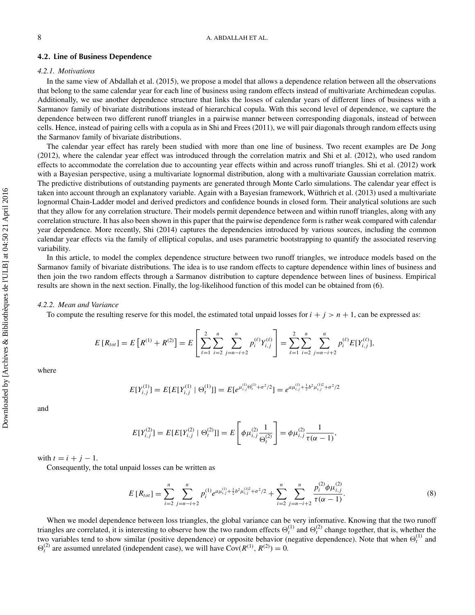#### **4.2. Line of Business Dependence**

#### *4.2.1. Motivations*

In the same view of Abdallah et al. (2015), we propose a model that allows a dependence relation between all the observations that belong to the same calendar year for each line of business using random effects instead of multivariate Archimedean copulas. Additionally, we use another dependence structure that links the losses of calendar years of different lines of business with a Sarmanov family of bivariate distributions instead of hierarchical copula. With this second level of dependence, we capture the dependence between two different runoff triangles in a pairwise manner between corresponding diagonals, instead of between cells. Hence, instead of pairing cells with a copula as in Shi and Frees (2011), we will pair diagonals through random effects using the Sarmanov family of bivariate distributions.

The calendar year effect has rarely been studied with more than one line of business. Two recent examples are De Jong (2012), where the calendar year effect was introduced through the correlation matrix and Shi et al. (2012), who used random effects to accommodate the correlation due to accounting year effects within and across runoff triangles. Shi et al. (2012) work with a Bayesian perspective, using a multivariate lognormal distribution, along with a multivariate Gaussian correlation matrix. The predictive distributions of outstanding payments are generated through Monte Carlo simulations. The calendar year effect is taken into account through an explanatory variable. Again with a Bayesian framework, Wüthrich et al. (2013) used a multivariate lognormal Chain-Ladder model and derived predictors and confidence bounds in closed form. Their analytical solutions are such that they allow for any correlation structure. Their models permit dependence between and within runoff triangles, along with any correlation structure. It has also been shown in this paper that the pairwise dependence form is rather weak compared with calendar year dependence. More recently, Shi (2014) captures the dependencies introduced by various sources, including the common calendar year effects via the family of elliptical copulas, and uses parametric bootstrapping to quantify the associated reserving variability.

In this article, to model the complex dependence structure between two runoff triangles, we introduce models based on the Sarmanov family of bivariate distributions. The idea is to use random effects to capture dependence within lines of business and then join the two random effects through a Sarmanov distribution to capture dependence between lines of business. Empirical results are shown in the next section. Finally, the log-likelihood function of this model can be obtained from (6).

# *4.2.2. Mean and Variance*

To compute the resulting reserve for this model, the estimated total unpaid losses for  $i + j > n + 1$ , can be expressed as:

$$
E\left[R_{tot}\right] = E\left[R^{(1)} + R^{(2)}\right] = E\left[\sum_{\ell=1}^{2} \sum_{i=2}^{n} \sum_{j=n-i+2}^{n} p_{i}^{(\ell)} Y_{i,j}^{(\ell)}\right] = \sum_{\ell=1}^{2} \sum_{i=2}^{n} \sum_{j=n-i+2}^{n} p_{i}^{(\ell)} E[Y_{i,j}^{(\ell)}],
$$

where

$$
E[Y_{i,j}^{(1)}] = E[E[Y_{i,j}^{(1)} | \Theta_t^{(1)}]] = E[e^{\mu_{i,j}^{(1)} \Theta_t^{(1)} + \sigma^2/2}] = e^{a\mu_{i,j}^{(1)} + \frac{1}{2}b^2 \mu_{i,j}^{(1)} + \sigma^2/2}
$$

and

$$
E[Y_{i,j}^{(2)}] = E[E[Y_{i,j}^{(2)} | \Theta_t^{(2)}]] = E\left[\phi\mu_{i,j}^{(2)}\frac{1}{\Theta_t^{(2)}}\right] = \phi\mu_{i,j}^{(2)}\frac{1}{\tau(\alpha-1)},
$$

with  $t = i + j - 1$ .

Consequently, the total unpaid losses can be written as

$$
E\left[R_{tot}\right] = \sum_{i=2}^{n} \sum_{j=n-i+2}^{n} p_{i}^{(1)} e^{a\mu_{i,j}^{(1)} + \frac{1}{2}b^{2}\mu_{i,j}^{(1)2} + \sigma^{2}/2} + \sum_{i=2}^{n} \sum_{j=n-i+2}^{n} \frac{p_{i}^{(2)} \phi \mu_{i,j}^{(2)}}{\tau(\alpha-1)}.
$$
\n(8)

When we model dependence between loss triangles, the global variance can be very informative. Knowing that the two runoff triangles are correlated, it is interesting to observe how the two random effects  $\Theta_t^{(1)}$  and  $\Theta_t^{(2)}$  change together, that is, whether the two variables tend to show similar (positive dependence) or opposite behavior (negative dependence). Note that when  $\Theta_t^{(1)}$  and  $\Theta_t^{(2)}$  are assumed unrelated (independent case), we will have  $Cov(R^{(1)}, R^{(2)}) = 0$ .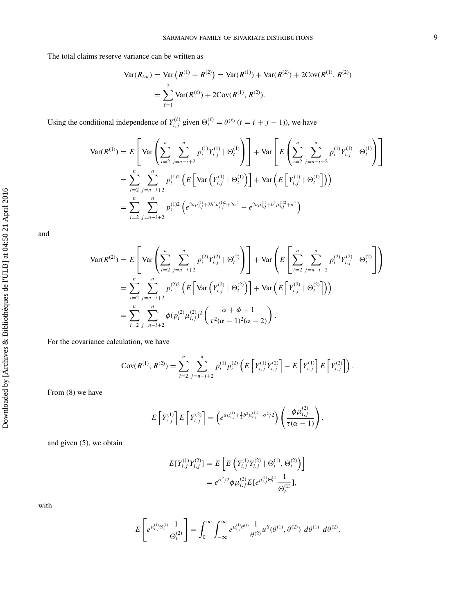# SARMANOV FAMILY OF BIVARIATE DISTRIBUTIONS 9

The total claims reserve variance can be written as

$$
Var(R_{tot}) = Var (R^{(1)} + R^{(2)}) = Var(R^{(1)}) + Var(R^{(2)}) + 2Cov(R^{(1)}, R^{(2)})
$$
  
= 
$$
\sum_{\ell=1}^{2} Var(R^{(\ell)}) + 2Cov(R^{(1)}, R^{(2)}).
$$

Using the conditional independence of  $Y_{i,j}^{(\ell)}$  given  $\Theta_t^{(\ell)} = \theta^{(\ell)}$   $(t = i + j - 1)$ ), we have

$$
\begin{split} \text{Var}(R^{(1)}) &= E\left[\text{Var}\left(\sum_{i=2}^{n} \sum_{j=n-i+2}^{n} p_{i}^{(1)} Y_{i,j}^{(1)} \mid \Theta_{t}^{(1)}\right)\right] + \text{Var}\left[E\left(\sum_{i=2}^{n} \sum_{j=n-i+2}^{n} p_{i}^{(1)} Y_{i,j}^{(1)} \mid \Theta_{t}^{(1)}\right)\right] \\ &= \sum_{i=2}^{n} \sum_{j=n-i+2}^{n} p_{i}^{(1)2} \left(E\left[\text{Var}\left(Y_{i,j}^{(1)} \mid \Theta_{t}^{(1)}\right)\right] + \text{Var}\left(E\left[Y_{i,j}^{(1)} \mid \Theta_{t}^{(1)}\right]\right)\right) \\ &= \sum_{i=2}^{n} \sum_{j=n-i+2}^{n} p_{i}^{(1)2} \left(e^{2a\mu_{i,j}^{(1)} + 2b^{2}\mu_{i,j}^{(1)2} + 2\sigma^{2}} - e^{2a\mu_{i,j}^{(1)} + b^{2}\mu_{i,j}^{(1)2} + \sigma^{2}}\right) \end{split}
$$

and

$$
\begin{split} \text{Var}(R^{(2)}) &= E\left[\text{Var}\left(\sum_{i=2}^{n} \sum_{j=n-i+2}^{n} p_{i}^{(2)} Y_{i,j}^{(2)} \mid \Theta_{t}^{(2)}\right)\right] + \text{Var}\left(E\left[\sum_{i=2}^{n} \sum_{j=n-i+2}^{n} p_{i}^{(2)} Y_{i,j}^{(2)} \mid \Theta_{t}^{(2)}\right]\right) \\ &= \sum_{i=2}^{n} \sum_{j=n-i+2}^{n} p_{i}^{(2)2} \left(E\left[\text{Var}\left(Y_{i,j}^{(2)} \mid \Theta_{t}^{(2)}\right)\right] + \text{Var}\left(E\left[Y_{i,j}^{(2)} \mid \Theta_{t}^{(2)}\right]\right)\right) \\ &= \sum_{i=2}^{n} \sum_{j=n-i+2}^{n} \phi(p_{i}^{(2)} \mu_{i,j}^{(2)})^{2} \left(\frac{\alpha + \phi - 1}{\tau^{2}(\alpha - 1)^{2}(\alpha - 2)}\right). \end{split}
$$

For the covariance calculation, we have

$$
Cov(R^{(1)}, R^{(2)}) = \sum_{i=2}^{n} \sum_{j=n-i+2}^{n} p_i^{(1)} p_i^{(2)} \left( E\left[ Y_{i,j}^{(1)} Y_{i,j}^{(2)} \right] - E\left[ Y_{i,j}^{(1)} \right] E\left[ Y_{i,j}^{(2)} \right] \right).
$$

From (8) we have

$$
E\left[Y_{i,j}^{(1)}\right]E\left[Y_{i,j}^{(2)}\right]=\left(e^{a\mu_{i,j}^{(1)}+\frac{1}{2}b^2\mu_{i,j}^{(1)2}+\sigma^2/2}\right)\left(\frac{\phi\mu_{i,j}^{(2)}}{\tau(\alpha-1)}\right),\,
$$

and given (5), we obtain

$$
E[Y_{i,j}^{(1)}Y_{i,j}^{(2)}] = E\left[E\left(Y_{i,j}^{(1)}Y_{i,j}^{(2)} | \Theta_i^{(1)}, \Theta_i^{(2)}\right)\right]
$$
  
=  $e^{\sigma^2/2}\phi\mu_{i,j}^{(2)}E[e^{\mu_{i,j}^{(1)}\Theta_i^{(1)}}\frac{1}{\Theta_i^{(2)}}],$ 

with

$$
E\left[e^{\mu_{i,j}^{(1)}\Theta_i^{(1)}}\frac{1}{\Theta_i^{(2)}}\right] = \int_0^\infty \int_{-\infty}^\infty e^{\mu_{i,j}^{(1)}\theta^{(1)}} \frac{1}{\theta^{(2)}} u^S(\theta^{(1)},\theta^{(2)}) d\theta^{(1)} d\theta^{(2)}.
$$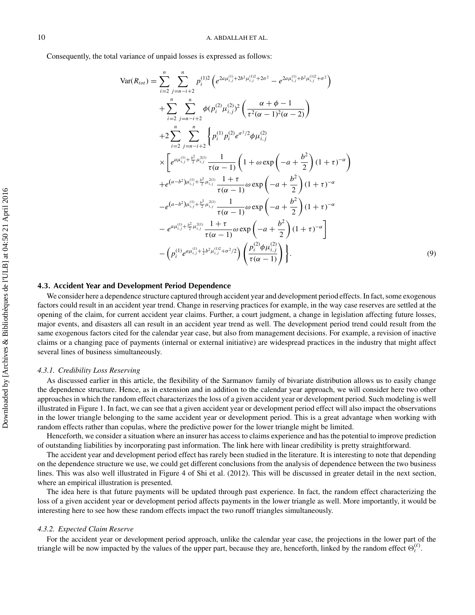Consequently, the total variance of unpaid losses is expressed as follows:

$$
\begin{split}\n\text{Var}(R_{tot}) &= \sum_{i=2}^{n} \sum_{j=n-i+2}^{n} p_{i}^{(1)2} \left( e^{2a\mu_{i,j}^{(1)} + 2b^{2}\mu_{i,j}^{(1)2} + 2\sigma^{2}} - e^{2a\mu_{i,j}^{(1)} + b^{2}\mu_{i,j}^{(1)2} + \sigma^{2}} \right) \\
&+ \sum_{i=2}^{n} \sum_{j=n-i+2}^{n} \phi(p_{i}^{(2)}\mu_{i,j}^{(2)})^{2} \left( \frac{\alpha + \phi - 1}{\tau^{2}(\alpha - 1)^{2}(\alpha - 2)} \right) \\
&+ 2 \sum_{i=2}^{n} \sum_{j=n-i+2}^{n} \left\{ p_{i}^{(1)} p_{i}^{(2)} e^{\sigma^{2}/2} \phi \mu_{i,j}^{(2)} \right. \\
&\times \left[ e^{a\mu_{i,j}^{(1)} + \frac{b^{2}}{2}\mu_{i,j}^{(2)}} \frac{1}{\tau(\alpha - 1)} \left( 1 + \omega \exp\left( -a + \frac{b^{2}}{2} \right) (1 + \tau)^{-\alpha} \right) \right. \\
&+ e^{(\alpha - b^{2})\mu_{i,j}^{(1)} + \frac{b^{2}}{2}\mu_{i,j}^{(2)}} \frac{1 + \tau}{\tau(\alpha - 1)} \omega \exp\left( -a + \frac{b^{2}}{2} \right) (1 + \tau)^{-\alpha} \\
&- e^{(a-b^{2})\mu_{i,j}^{(1)} + \frac{b^{2}}{2}\mu_{i,j}^{(2)}} \frac{1 + \tau}{\tau(\alpha - 1)} \omega \exp\left( -a + \frac{b^{2}}{2} \right) (1 + \tau)^{-\alpha} \\
&- e^{a\mu_{i,j}^{(1)} + \frac{b^{2}}{2}\mu_{i,j}^{(2)}} \frac{1 + \tau}{\tau(\alpha - 1)} \omega \exp\left( -a + \frac{b^{2}}{2} \right) (1 + \tau)^{-\alpha} \right] \\
&- \left( p_{i}^{(1)} e^{a\mu_{i,j}^{(1)} + \frac{1}{2}b^{2}\mu_{i,j}^{(1)2} + \sigma^{2}/2} \right) \left( \frac{p_{i}^{(2)} \phi(\mu_{i,j}^{(2)})}{\tau(\alpha - 1)} \right) \
$$

# **4.3. Accident Year and Development Period Dependence**

We consider here a dependence structure captured through accident year and development period effects. In fact, some exogenous factors could result in an accident year trend. Change in reserving practices for example, in the way case reserves are settled at the opening of the claim, for current accident year claims. Further, a court judgment, a change in legislation affecting future losses, major events, and disasters all can result in an accident year trend as well. The development period trend could result from the same exogenous factors cited for the calendar year case, but also from management decisions. For example, a revision of inactive claims or a changing pace of payments (internal or external initiative) are widespread practices in the industry that might affect several lines of business simultaneously.

# *4.3.1. Credibility Loss Reserving*

As discussed earlier in this article, the flexibility of the Sarmanov family of bivariate distribution allows us to easily change the dependence structure. Hence, as in extension and in addition to the calendar year approach, we will consider here two other approaches in which the random effect characterizes the loss of a given accident year or development period. Such modeling is well illustrated in Figure 1. In fact, we can see that a given accident year or development period effect will also impact the observations in the lower triangle belonging to the same accident year or development period. This is a great advantage when working with random effects rather than copulas, where the predictive power for the lower triangle might be limited.

Henceforth, we consider a situation where an insurer has access to claims experience and has the potential to improve prediction of outstanding liabilities by incorporating past information. The link here with linear credibility is pretty straightforward.

The accident year and development period effect has rarely been studied in the literature. It is interesting to note that depending on the dependence structure we use, we could get different conclusions from the analysis of dependence between the two business lines. This was also well illustrated in Figure 4 of Shi et al. (2012). This will be discussed in greater detail in the next section, where an empirical illustration is presented.

The idea here is that future payments will be updated through past experience. In fact, the random effect characterizing the loss of a given accident year or development period affects payments in the lower triangle as well. More importantly, it would be interesting here to see how these random effects impact the two runoff triangles simultaneously.

#### *4.3.2. Expected Claim Reserve*

For the accident year or development period approach, unlike the calendar year case, the projections in the lower part of the triangle will be now impacted by the values of the upper part, because they are, henceforth, linked by the random effect  $\Theta_t^{(\ell)}$ .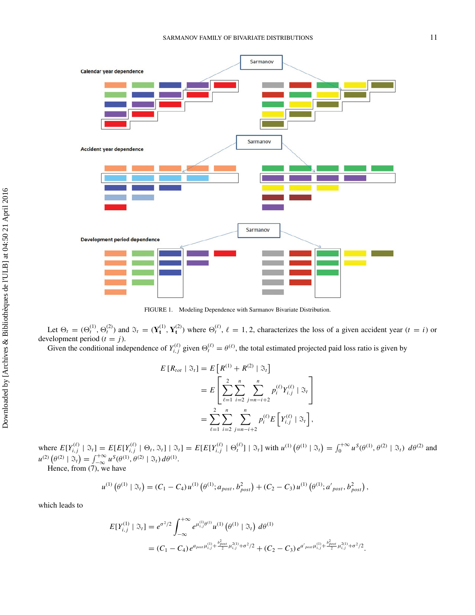

FIGURE 1. Modeling Dependence with Sarmanov Bivariate Distribution.

Let  $\Theta_t = (\Theta_t^{(1)}, \Theta_t^{(2)})$  and  $\mathfrak{I}_t = (\mathbf{Y_t^{(1)}}, \mathbf{Y_t^{(2)}})$  where  $\Theta_t^{(\ell)}, \ell = 1, 2$ , characterizes the loss of a given accident year  $(t = i)$  or development period  $(t = j)$ .

Given the conditional independence of  $Y_{i,j}^{(\ell)}$  given  $\Theta_t^{(\ell)} = \theta^{(\ell)}$ , the total estimated projected paid loss ratio is given by

$$
E[R_{tot} | \mathfrak{I}_t] = E[R^{(1)} + R^{(2)} | \mathfrak{I}_t]
$$
  
= 
$$
E\left[\sum_{\ell=1}^2 \sum_{i=2}^n \sum_{j=n-i+2}^n p_i^{(\ell)} Y_{i,j}^{(\ell)} | \mathfrak{I}_t \right]
$$
  
= 
$$
\sum_{\ell=1}^2 \sum_{i=2}^n \sum_{j=n-i+2}^n p_i^{(\ell)} E[Y_{i,j}^{(\ell)} | \mathfrak{I}_t],
$$

where  $E[Y_{i,j}^{(\ell)} | \Im_t] = E[E[Y_{i,j}^{(\ell)} | \Theta_t, \Im_t] | \Im_t] = E[E[Y_{i,j}^{(\ell)} | \Theta_t^{(\ell)}] | \Im_t]$  with  $u^{(1)}(\theta^{(1)} | \Im_t) = \int_0^{+\infty} u^S(\theta^{(1)}, \theta^{(2)} | \Im_t) d\theta^{(2)}$  and  $u^{(2)}(\theta^{(2)} | \mathfrak{I}_t) = \int_{-\infty}^{+\infty} u^S(\theta^{(1)}, \theta^{(2)} | \mathfrak{I}_t) d\theta^{(1)}$ .

Hence, from (7), we have

$$
u^{(1)}\left(\theta^{(1)}\mid \mathfrak{F}_t\right)=(C_1-C_4)u^{(1)}\left(\theta^{(1)};a_{\text{post}},b_{\text{post}}^2\right)+(C_2-C_3)u^{(1)}\left(\theta^{(1)};a_{\text{post}},b_{\text{post}}^2\right),
$$

which leads to

$$
E[Y_{i,j}^{(1)} | \Im_t] = e^{\sigma^2/2} \int_{-\infty}^{+\infty} e^{\mu_{i,j}^{(1)}\theta^{(1)}} u^{(1)} (\theta^{(1)} | \Im_t) d\theta^{(1)}
$$
  
=  $(C_1 - C_4) e^{a_{post}\mu_{i,j}^{(1)} + \frac{b_{post}^2}{2} \mu_{i,j}^{2(1)} + \sigma^2/2} + (C_2 - C_3) e^{a'_{post}\mu_{i,j}^{(1)} + \frac{b_{post}^2}{2} \mu_{i,j}^{2(1)} + \sigma^2/2}$ 

*.*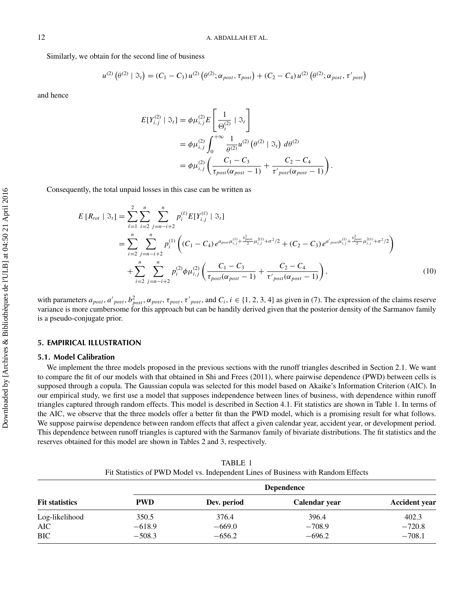Similarly, we obtain for the second line of business

$$
u^{(2)}(\theta^{(2)} | \mathfrak{S}_t) = (C_1 - C_3) u^{(2)}(\theta^{(2)}; \alpha_{post}, \tau_{post}) + (C_2 - C_4) u^{(2)}(\theta^{(2)}; \alpha_{post}, \tau'_{post})
$$

and hence

$$
E[Y_{i,j}^{(2)} | \Im_t] = \phi \mu_{i,j}^{(2)} E\left[\frac{1}{\Theta_t^{(2)}} | \Im_t\right]
$$
  
=  $\phi \mu_{i,j}^{(2)} \int_0^{+\infty} \frac{1}{\theta^{(2)}} u^{(2)} (\theta^{(2)} | \Im_t) d\theta^{(2)}$   
=  $\phi \mu_{i,j}^{(2)} \left(\frac{C_1 - C_3}{\tau_{post}(\alpha_{post} - 1)} + \frac{C_2 - C_4}{\tau_{post}(\alpha_{post} - 1)}\right).$ 

Consequently, the total unpaid losses in this case can be written as

$$
E\left[R_{tot} \mid \mathfrak{F}_{t}\right] = \sum_{\ell=1}^{2} \sum_{i=2}^{n} \sum_{j=n-i+2}^{n} p_{i}^{(\ell)} E[Y_{i,j}^{(\ell)} \mid \mathfrak{F}_{t}]
$$
  
= 
$$
\sum_{i=2}^{n} \sum_{j=n-i+2}^{n} p_{i}^{(1)} \left( (C_{1} - C_{4}) e^{a_{post}} \mu_{i,j}^{(1)} + \frac{b_{post}^{2}}{2} \mu_{i,j}^{2(1)} + \sigma^{2}/2 + (C_{2} - C_{3}) e^{a'_{post}} \mu_{i,j}^{(1)} + \frac{b_{post}^{2}}{2} \mu_{i,j}^{2(1)} + \sigma^{2}/2 \right)
$$
  
+ 
$$
\sum_{i=2}^{n} \sum_{j=n-i+2}^{n} p_{i}^{(2)} \phi \mu_{i,j}^{(2)} \left( \frac{C_{1} - C_{3}}{\tau_{post}(\alpha_{post} - 1)} + \frac{C_{2} - C_{4}}{\tau'_{post}(\alpha_{post} - 1)} \right),
$$
 (10)

with parameters  $a_{post}$ ,  $a'_{post}$ ,  $b_{post}^2$ ,  $\alpha_{post}$ ,  $\tau_{post}$ ,  $\tau'_{post}$ , and  $C_i$ ,  $i \in \{1, 2, 3, 4\}$  as given in (7). The expression of the claims reserve variance is more cumbersome for this approach but can be handily derived given that the posterior density of the Sarmanov family is a pseudo-conjugate prior.

# **5. EMPIRICAL ILLUSTRATION**

#### **5.1. Model Calibration**

We implement the three models proposed in the previous sections with the runoff triangles described in Section 2.1. We want to compare the fit of our models with that obtained in Shi and Frees (2011), where pairwise dependence (PWD) between cells is supposed through a copula. The Gaussian copula was selected for this model based on Akaike's Information Criterion (AIC). In our empirical study, we first use a model that supposes independence between lines of business, with dependence within runoff triangles captured through random effects. This model is described in Section 4.1. Fit statistics are shown in Table 1. In terms of the AIC, we observe that the three models offer a better fit than the PWD model, which is a promising result for what follows. We suppose pairwise dependence between random effects that affect a given calendar year, accident year, or development period. This dependence between runoff triangles is captured with the Sarmanov family of bivariate distributions. The fit statistics and the reserves obtained for this model are shown in Tables 2 and 3, respectively.

| <b>Fit statistics</b> |            | <b>Dependence</b> |               |                      |  |  |
|-----------------------|------------|-------------------|---------------|----------------------|--|--|
|                       | <b>PWD</b> | Dev. period       | Calendar year | <b>Accident year</b> |  |  |
| Log-likelihood        | 350.5      | 376.4             | 396.4         | 402.3                |  |  |
| AIC                   | $-618.9$   | $-669.0$          | $-708.9$      | $-720.8$             |  |  |
| <b>BIC</b>            | $-508.3$   | $-656.2$          | $-696.2$      | $-708.1$             |  |  |

TABLE 1 Fit Statistics of PWD Model vs. Independent Lines of Business with Random Effects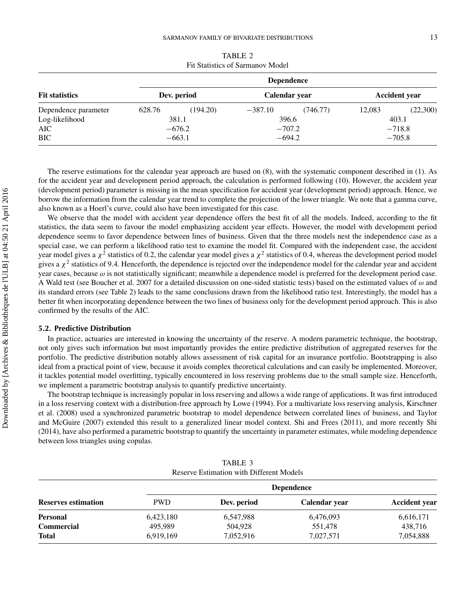|                                               |             |          |               | <b>Dependence</b> |                      |          |
|-----------------------------------------------|-------------|----------|---------------|-------------------|----------------------|----------|
| <b>Fit statistics</b><br>Dependence parameter | Dev. period |          | Calendar year |                   | <b>Accident year</b> |          |
|                                               | 628.76      | (194.20) | $-387.10$     | (746.77)          | 12.083               | (22,300) |
| Log-likelihood                                | 381.1       |          | 396.6         |                   | 403.1                |          |
| AIC                                           | $-676.2$    |          | $-707.2$      |                   | $-718.8$             |          |
| <b>BIC</b>                                    | $-663.1$    |          | $-694.2$      |                   | $-705.8$             |          |

TABLE 2 Fit Statistics of Sarmanov Model

The reserve estimations for the calendar year approach are based on (8), with the systematic component described in (1). As for the accident year and development period approach, the calculation is performed following (10). However, the accident year (development period) parameter is missing in the mean specification for accident year (development period) approach. Hence, we borrow the information from the calendar year trend to complete the projection of the lower triangle. We note that a gamma curve, also known as a Hoerl's curve, could also have been investigated for this case.

We observe that the model with accident year dependence offers the best fit of all the models. Indeed, according to the fit statistics, the data seem to favour the model emphasizing accident year effects. However, the model with development period dependence seems to favor dependence between lines of business. Given that the three models nest the independence case as a special case, we can perform a likelihood ratio test to examine the model fit. Compared with the independent case, the accident year model gives a  $\chi^2$  statistics of 0.2, the calendar year model gives a  $\chi^2$  statistics of 0.4, whereas the development period model gives a  $\chi^2$  statistics of 9.4. Henceforth, the dependence is rejected over the independence model for the calendar year and accident year cases, because *ω* is not statistically significant; meanwhile a dependence model is preferred for the development period case. A Wald test (see Boucher et al. 2007 for a detailed discussion on one-sided statistic tests) based on the estimated values of *ω* and its standard errors (see Table 2) leads to the same conclusions drawn from the likelihood ratio test. Interestingly, the model has a better fit when incorporating dependence between the two lines of business only for the development period approach. This is also confirmed by the results of the AIC.

# **5.2. Predictive Distribution**

In practice, actuaries are interested in knowing the uncertainty of the reserve. A modern parametric technique, the bootstrap, not only gives such information but most importantly provides the entire predictive distribution of aggregated reserves for the portfolio. The predictive distribution notably allows assessment of risk capital for an insurance portfolio. Bootstrapping is also ideal from a practical point of view, because it avoids complex theoretical calculations and can easily be implemented. Moreover, it tackles potential model overfitting, typically encountered in loss reserving problems due to the small sample size. Henceforth, we implement a parametric bootstrap analysis to quantify predictive uncertainty.

The bootstrap technique is increasingly popular in loss reserving and allows a wide range of applications. It was first introduced in a loss reserving context with a distribution-free approach by Lowe (1994). For a multivariate loss reserving analysis, Kirschner et al. (2008) used a synchronized parametric bootstrap to model dependence between correlated lines of business, and Taylor and McGuire (2007) extended this result to a generalized linear model context. Shi and Frees (2011), and more recently Shi (2014), have also performed a parametric bootstrap to quantify the uncertainty in parameter estimates, while modeling dependence between loss triangles using copulas.

|                            | <b>Dependence</b> |             |               |                      |  |
|----------------------------|-------------------|-------------|---------------|----------------------|--|
| <b>Reserves estimation</b> | <b>PWD</b>        | Dev. period | Calendar year | <b>Accident year</b> |  |
| <b>Personal</b>            | 6,423,180         | 6,547,988   | 6,476,093     | 6,616,171            |  |
| <b>Commercial</b>          | 495.989           | 504.928     | 551.478       | 438.716              |  |
| <b>Total</b>               | 6,919,169         | 7,052,916   | 7,027,571     | 7,054,888            |  |

| TABLE 3                                  |
|------------------------------------------|
| Reserve Estimation with Different Models |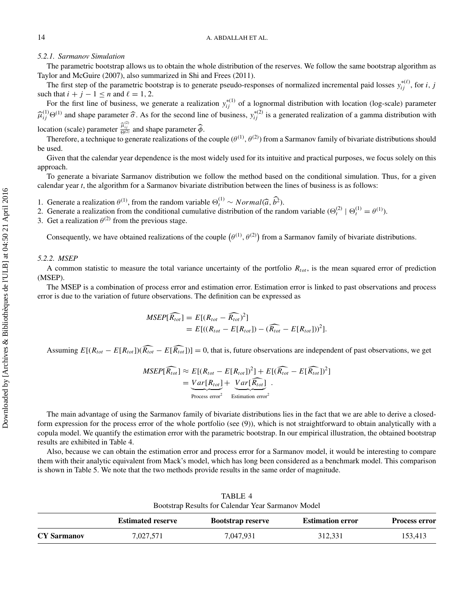### *5.2.1. Sarmanov Simulation*

The parametric bootstrap allows us to obtain the whole distribution of the reserves. We follow the same bootstrap algorithm as Taylor and McGuire (2007), also summarized in Shi and Frees (2011).

The first step of the parametric bootstrap is to generate pseudo-responses of normalized incremental paid losses  $y_{ii}^{*(\ell)}$ , for *i*, *j* such that  $i + j - 1 \leq n$  and  $\ell = 1, 2$ .

For the first line of business, we generate a realization  $y_{ij}^{*(1)}$  of a lognormal distribution with location (log-scale) parameter  $\hat{\mu}_{ij}^{(1)}\Theta^{(1)}$  and shape parameter  $\hat{\sigma}$ . As for the second line of business,  $y_{ij}^{*(2)}$  is a generated realization of a gamma distribution with location (scale) parameter  $\hat{\vec{\theta}}_{ij}^{(2)}$  and shape parameter  $\hat{\vec{\phi}}$ .

Therefore, a technique to generate realizations of the couple  $(\theta^{(1)}, \theta^{(2)})$  from a Sarmanov family of bivariate distributions should be used.

Given that the calendar year dependence is the most widely used for its intuitive and practical purposes, we focus solely on this approach.

To generate a bivariate Sarmanov distribution we follow the method based on the conditional simulation. Thus, for a given calendar year *t*, the algorithm for a Sarmanov bivariate distribution between the lines of business is as follows:

1. Generate a realization  $\theta^{(1)}$ , from the random variable  $\Theta_t^{(1)} \sim Normal(\hat{a}, \hat{b}^2)$ .<br>2. Generate a realization from the conditional cumulative distribution of the ran

- 2. Generate a realization from the conditional cumulative distribution of the random variable  $(\Theta_t^{(2)} | \Theta_t^{(1)} = \theta^{(1)})$ .
- 3. Get a realization  $\theta^{(2)}$  from the previous stage.

Consequently, we have obtained realizations of the couple  $(\theta^{(1)}, \theta^{(2)})$  from a Sarmanov family of bivariate distributions.

#### *5.2.2. MSEP*

A common statistic to measure the total variance uncertainty of the portfolio *Rtot* , is the mean squared error of prediction (MSEP).

The MSEP is a combination of process error and estimation error. Estimation error is linked to past observations and process error is due to the variation of future observations. The definition can be expressed as

$$
\begin{split} \widehat{MSEP}[\widehat{R_{tot}}] &= E[(R_{tot} - \widehat{R_{tot}})^2] \\ &= E[(R_{tot} - E[R_{tot}]) - (\widehat{R_{tot}} - E[R_{tot}]))^2]. \end{split}
$$

Assuming  $E[(R_{tot} - E[R_{tot}])(\widehat{R_{tot}} - E[\widehat{R_{tot}}])] = 0$ , that is, future observations are independent of past observations, we get

$$
MSEP[\widehat{R_{tot}}] \approx E[(R_{tot} - E[R_{tot}])^{2}] + E[(\widehat{R_{tot}} - E[\widehat{R_{tot}}])^{2}]
$$
  
= 
$$
\underbrace{Var[R_{tot}]}_{\text{Process error}^{2}} + \underbrace{Var[\widehat{R_{tot}}]}_{\text{Estimation error}^{2}}.
$$

The main advantage of using the Sarmanov family of bivariate distributions lies in the fact that we are able to derive a closedform expression for the process error of the whole portfolio (see (9)), which is not straightforward to obtain analytically with a copula model. We quantify the estimation error with the parametric bootstrap. In our empirical illustration, the obtained bootstrap results are exhibited in Table 4.

Also, because we can obtain the estimation error and process error for a Sarmanov model, it would be interesting to compare them with their analytic equivalent from Mack's model, which has long been considered as a benchmark model. This comparison is shown in Table 5. We note that the two methods provide results in the same order of magnitude.

| TABLE 4                                            |  |
|----------------------------------------------------|--|
| Bootstrap Results for Calendar Year Sarmanov Model |  |

|                    | <b>Estimated reserve</b> | <b>Bootstrap reserve</b> | <b>Estimation error</b> | <b>Process error</b> |
|--------------------|--------------------------|--------------------------|-------------------------|----------------------|
| <b>CY Sarmanov</b> | 7.027.571                | 7,047,931                | 312.331                 | 153,413              |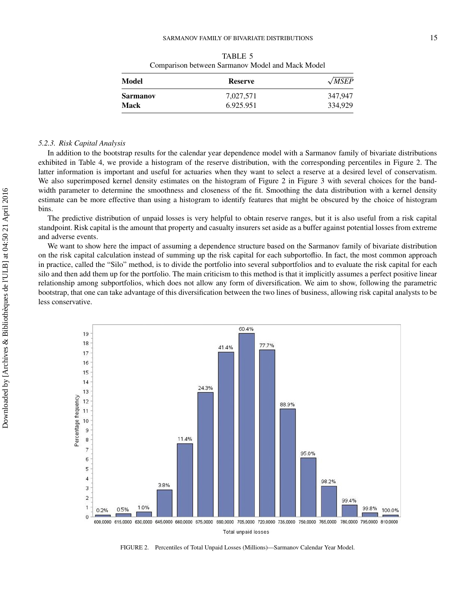| comparison countern carmainer niceaer and ninen niceaer |               |  |
|---------------------------------------------------------|---------------|--|
| <b>Reserve</b>                                          | $\sqrt{MSEP}$ |  |
| 7,027,571                                               | 347.947       |  |
| 6.925.951                                               | 334,929       |  |
|                                                         |               |  |

TABLE 5 Comparison between Sarmanov Model and Mack Model

#### *5.2.3. Risk Capital Analysis*

In addition to the bootstrap results for the calendar year dependence model with a Sarmanov family of bivariate distributions exhibited in Table 4, we provide a histogram of the reserve distribution, with the corresponding percentiles in Figure 2. The latter information is important and useful for actuaries when they want to select a reserve at a desired level of conservatism. We also superimposed kernel density estimates on the histogram of Figure 2 in Figure 3 with several choices for the bandwidth parameter to determine the smoothness and closeness of the fit. Smoothing the data distribution with a kernel density estimate can be more effective than using a histogram to identify features that might be obscured by the choice of histogram bins.

The predictive distribution of unpaid losses is very helpful to obtain reserve ranges, but it is also useful from a risk capital standpoint. Risk capital is the amount that property and casualty insurers set aside as a buffer against potential losses from extreme and adverse events.

We want to show here the impact of assuming a dependence structure based on the Sarmanov family of bivariate distribution on the risk capital calculation instead of summing up the risk capital for each subportoflio. In fact, the most common approach in practice, called the "Silo" method, is to divide the portfolio into several subportfolios and to evaluate the risk capital for each silo and then add them up for the portfolio. The main criticism to this method is that it implicitly assumes a perfect positive linear relationship among subportfolios, which does not allow any form of diversification. We aim to show, following the parametric bootstrap, that one can take advantage of this diversification between the two lines of business, allowing risk capital analysts to be less conservative.



FIGURE 2. Percentiles of Total Unpaid Losses (Millions)—Sarmanov Calendar Year Model.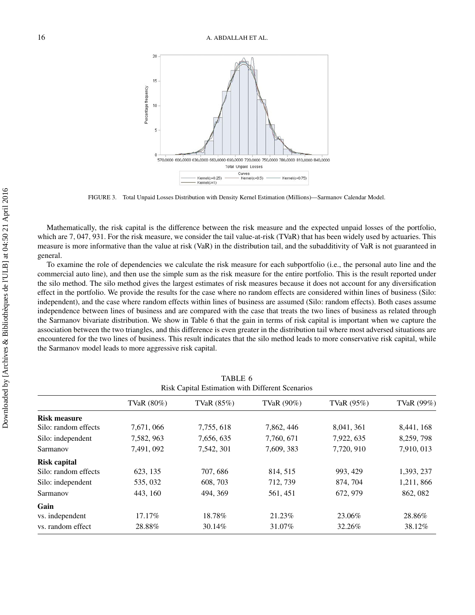

FIGURE 3. Total Unpaid Losses Distribution with Density Kernel Estimation (Millions)—Sarmanov Calendar Model.

Mathematically, the risk capital is the difference between the risk measure and the expected unpaid losses of the portfolio, which are 7,047,931. For the risk measure, we consider the tail value-at-risk (TVaR) that has been widely used by actuaries. This measure is more informative than the value at risk (VaR) in the distribution tail, and the subadditivity of VaR is not guaranteed in general.

To examine the role of dependencies we calculate the risk measure for each subportfolio (i.e., the personal auto line and the commercial auto line), and then use the simple sum as the risk measure for the entire portfolio. This is the result reported under the silo method. The silo method gives the largest estimates of risk measures because it does not account for any diversification effect in the portfolio. We provide the results for the case where no random effects are considered within lines of business (Silo: independent), and the case where random effects within lines of business are assumed (Silo: random effects). Both cases assume independence between lines of business and are compared with the case that treats the two lines of business as related through the Sarmanov bivariate distribution. We show in Table 6 that the gain in terms of risk capital is important when we capture the association between the two triangles, and this difference is even greater in the distribution tail where most adversed situations are encountered for the two lines of business. This result indicates that the silo method leads to more conservative risk capital, while the Sarmanov model leads to more aggressive risk capital.

| Risk Capital Estimation with Different Scenarios |            |               |            |               |            |
|--------------------------------------------------|------------|---------------|------------|---------------|------------|
|                                                  | TVaR (80%) | TVaR $(85\%)$ | TVaR (90%) | TVaR $(95\%)$ | TVaR (99%) |
| <b>Risk measure</b>                              |            |               |            |               |            |
| Silo: random effects                             | 7,671,066  | 7,755,618     | 7,862, 446 | 8,041,361     | 8,441, 168 |
| Silo: independent                                | 7,582, 963 | 7,656, 635    | 7,760, 671 | 7,922, 635    | 8,259,798  |
| Sarmanov                                         | 7,491, 092 | 7,542, 301    | 7,609, 383 | 7,720, 910    | 7,910, 013 |
| <b>Risk capital</b>                              |            |               |            |               |            |
| Silo: random effects                             | 623, 135   | 707, 686      | 814, 515   | 993, 429      | 1,393, 237 |
| Silo: independent                                | 535, 032   | 608, 703      | 712, 739   | 874, 704      | 1,211,866  |
| Sarmanov                                         | 443, 160   | 494, 369      | 561, 451   | 672, 979      | 862, 082   |
| Gain                                             |            |               |            |               |            |
| vs. independent                                  | 17.17%     | 18.78%        | 21.23%     | 23.06%        | 28.86%     |
| vs. random effect                                | 28.88%     | 30.14%        | 31.07%     | 32.26%        | 38.12%     |

TABLE 6